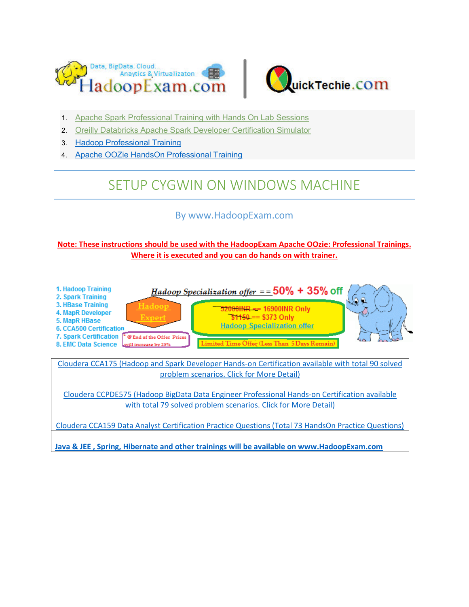



- 1. [Apache Spark Professional Training with Hands On Lab Sessions](http://www.hadoopexam.com/spark/training/Apache_Spark_professional_training_developer_certification_exam_dumps.html)
- 2. [Oreilly Databricks Apache Spark Developer Certification Simulator](http://www.hadoopexam.com/spark/Apache_Spark_Oreilly_databricks_developer_certification_exam_dumps.html)
- 3. [Hadoop Professional Training](http://hadoopexam.com/index.html/#hadoop-training)
- 4. [Apache OOZie HandsOn Professional Training](http://www.hadoopexam.com/)

# SETUP CYGWIN ON WINDOWS MACHINE

# By www.HadoopExam.com

## **Note: These instructions should be used with the HadoopExam Apache OOzie: Professional Trainings. Where it is executed and you can do hands on with trainer.**



**[Java & JEE , Spring, Hibernate and other trainings will be available on www.HadoopExam.com](http://www.hadoopexam.com/)**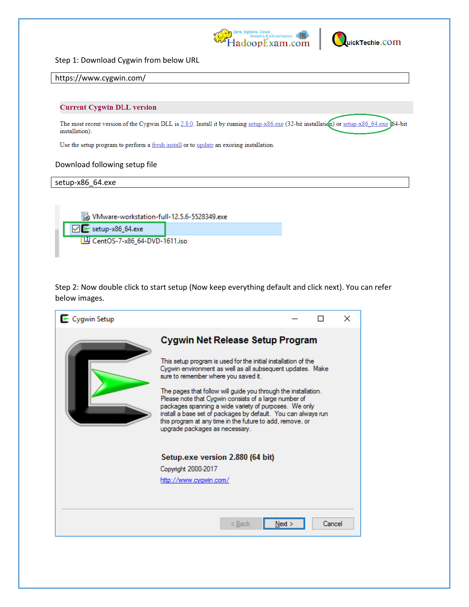



Step 1: Download Cygwin from below URL

#### https://www.cygwin.com/

#### **Current Cygwin DLL version**

The most recent version of the Cygwin DLL is 2.8.0. Install it by running setup-x86.exe (32-bit installation) or setup-x86\_64.exe (64-bit installation).

Use the setup program to perform a fresh install or to update an existing installation.

#### Download following setup file

setup-x86\_64.exe

VMware-workstation-full-12.5.6-5528349.exe

 $\nabla$   $\blacktriangleright$  setup-x86\_64.exe

CentOS-7-x86\_64-DVD-1611.iso

Step 2: Now double click to start setup (Now keep everything default and click next). You can refer below images.

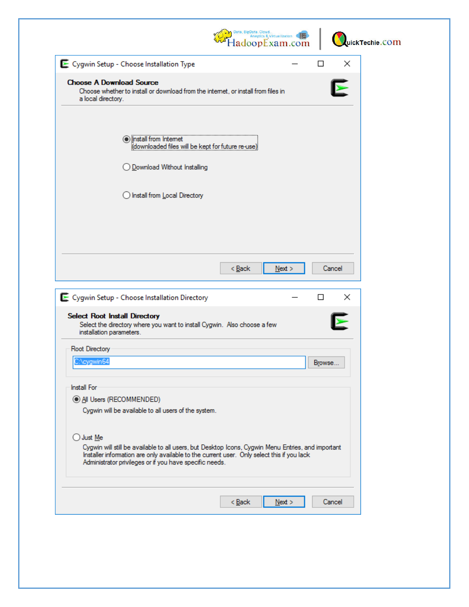|                                                                                                                                                                                                                                                                          | adoopExam.com | Anaytics & Virtualizaton |        |                            | uickTechie.COM |
|--------------------------------------------------------------------------------------------------------------------------------------------------------------------------------------------------------------------------------------------------------------------------|---------------|--------------------------|--------|----------------------------|----------------|
| E Cygwin Setup - Choose Installation Type                                                                                                                                                                                                                                |               |                          | □      | ×                          |                |
| <b>Choose A Download Source</b><br>Choose whether to install or download from the internet, or install from files in<br>a local directory.                                                                                                                               |               |                          |        |                            |                |
| <b>Olnstall from Internet</b><br>(downloaded files will be kept for future re-use)<br>◯ Download Without Installing                                                                                                                                                      |               |                          |        |                            |                |
| ◯ Install from Local Directory                                                                                                                                                                                                                                           |               |                          |        |                            |                |
|                                                                                                                                                                                                                                                                          |               |                          |        |                            |                |
|                                                                                                                                                                                                                                                                          |               |                          |        |                            |                |
|                                                                                                                                                                                                                                                                          |               |                          |        |                            |                |
|                                                                                                                                                                                                                                                                          | $<$ Back      | Next >                   |        | Cancel                     |                |
| E Cygwin Setup - Choose Installation Directory<br><b>Select Root Install Directory</b><br>Select the directory where you want to install Cygwin. Also choose a few<br>installation parameters.                                                                           |               |                          | П      | ×<br>$\blacktriangleright$ |                |
| Root Directory                                                                                                                                                                                                                                                           |               |                          |        |                            |                |
| C:\cygwin64                                                                                                                                                                                                                                                              |               |                          | Browse |                            |                |
|                                                                                                                                                                                                                                                                          |               |                          |        |                            |                |
| Install For                                                                                                                                                                                                                                                              |               |                          |        |                            |                |
| All Users (RECOMMENDED)<br>Cygwin will be available to all users of the system.                                                                                                                                                                                          |               |                          |        |                            |                |
|                                                                                                                                                                                                                                                                          |               |                          |        |                            |                |
| U Just Me<br>Cygwin will still be available to all users, but Desktop Icons, Cygwin Menu Entries, and important<br>Installer information are only available to the current user. Only select this if you lack<br>Administrator privileges or if you have specific needs. |               |                          |        |                            |                |
|                                                                                                                                                                                                                                                                          |               |                          |        |                            |                |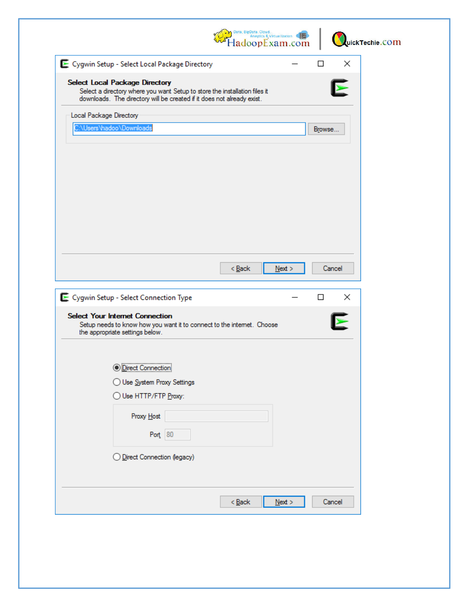|                                                                                                                                                                                               | $\overline{\text{4aloop}}^{\text{Data, BigData. Cloud.}}_{\text{Anyities & \text{Virtualization}}}\ \overline{\text{4aloopExam.com}}$ |        | uickTechie.COM |
|-----------------------------------------------------------------------------------------------------------------------------------------------------------------------------------------------|---------------------------------------------------------------------------------------------------------------------------------------|--------|----------------|
| E Cygwin Setup - Select Local Package Directory                                                                                                                                               |                                                                                                                                       | □      | ×              |
| <b>Select Local Package Directory</b><br>Select a directory where you want Setup to store the installation files it<br>downloads. The directory will be created if it does not already exist. |                                                                                                                                       |        |                |
| Local Package Directory                                                                                                                                                                       |                                                                                                                                       |        |                |
| C:\Users\hadoo\Downloads                                                                                                                                                                      |                                                                                                                                       | Browse |                |
|                                                                                                                                                                                               | $<$ Back<br>$N$ ext >                                                                                                                 |        | Cancel         |
| E Cygwin Setup - Select Connection Type                                                                                                                                                       |                                                                                                                                       | □      | $\times$       |
| <b>Select Your Internet Connection</b><br>Setup needs to know how you want it to connect to the internet. Choose<br>the appropriate settings below.                                           |                                                                                                                                       |        |                |
| <b>O</b> Direct Connection<br>◯ Use System Proxy Settings<br>) Use HTTP/FTP <u>P</u> roxy:<br>Proxy Host<br>Port 80<br>Direct Connection (legacy)                                             |                                                                                                                                       |        |                |
|                                                                                                                                                                                               | $< $ Back<br>$N$ ext >                                                                                                                |        | Cancel         |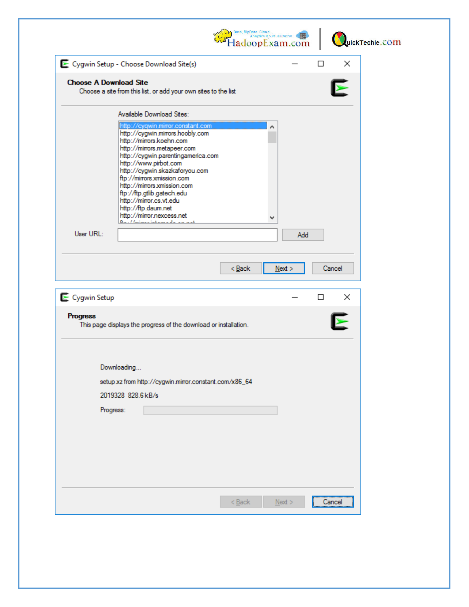|                                          |                    |                                                                                                                                                                                                                               |                                                                                                                                               |          |   | HadoopExam.com |        |        |          | uickTechie.COM |
|------------------------------------------|--------------------|-------------------------------------------------------------------------------------------------------------------------------------------------------------------------------------------------------------------------------|-----------------------------------------------------------------------------------------------------------------------------------------------|----------|---|----------------|--------|--------|----------|----------------|
| E Cygwin Setup - Choose Download Site(s) |                    |                                                                                                                                                                                                                               |                                                                                                                                               |          |   |                | □      |        | ×        |                |
| <b>Choose A Download Site</b>            |                    |                                                                                                                                                                                                                               | Choose a site from this list, or add your own sites to the list                                                                               |          |   |                |        |        |          |                |
|                                          |                    | Available Download Sites:                                                                                                                                                                                                     |                                                                                                                                               |          |   |                |        |        |          |                |
|                                          |                    | http://mirrors.koehn.com<br>http://mirrors.metapeer.com<br>http://www.pirbot.com<br>ftp://mirrors.xmission.com<br>http://mirrors.xmission.com<br>ftp://ftp.gtlib.gatech.edu<br>http://mirror.cs.vt.edu<br>http://ftp.daum.net | http://cygwin.mirror.constant.com<br>http://cygwin.mirrors.hoobly.com<br>http://cygwin.parentingamerica.com<br>http://cygwin.skazkaforyou.com |          | ∧ |                |        |        |          |                |
|                                          |                    | http://mirror.nexcess.net<br>فالمرابط المرابي المالي والمستحققين والمستحمل الرابطة                                                                                                                                            |                                                                                                                                               |          | v |                |        |        |          |                |
| User URL:                                |                    |                                                                                                                                                                                                                               |                                                                                                                                               |          |   | Add            |        |        |          |                |
|                                          |                    |                                                                                                                                                                                                                               |                                                                                                                                               |          |   |                |        |        |          |                |
|                                          |                    |                                                                                                                                                                                                                               |                                                                                                                                               |          |   |                |        |        |          |                |
| Cygwin Setup                             |                    |                                                                                                                                                                                                                               |                                                                                                                                               | $<$ Back |   | $N$ ext >      | $\Box$ | Cancel | $\times$ |                |
| <b>Progress</b>                          |                    |                                                                                                                                                                                                                               | This page displays the progress of the download or installation.                                                                              |          |   |                |        |        |          |                |
|                                          |                    |                                                                                                                                                                                                                               |                                                                                                                                               |          |   |                |        |        |          |                |
|                                          | Downloading        |                                                                                                                                                                                                                               |                                                                                                                                               |          |   |                |        |        |          |                |
|                                          | 2019328 828.6 kB/s |                                                                                                                                                                                                                               | setup xz from http://cygwin.mirror.constant.com/x86_64                                                                                        |          |   |                |        |        |          |                |
|                                          | Progress:          |                                                                                                                                                                                                                               |                                                                                                                                               |          |   |                |        |        |          |                |
|                                          |                    |                                                                                                                                                                                                                               |                                                                                                                                               |          |   |                |        |        |          |                |
|                                          |                    |                                                                                                                                                                                                                               |                                                                                                                                               |          |   |                |        |        |          |                |
|                                          |                    |                                                                                                                                                                                                                               |                                                                                                                                               | $Back$   |   | $N$ ext >      |        | Cancel |          |                |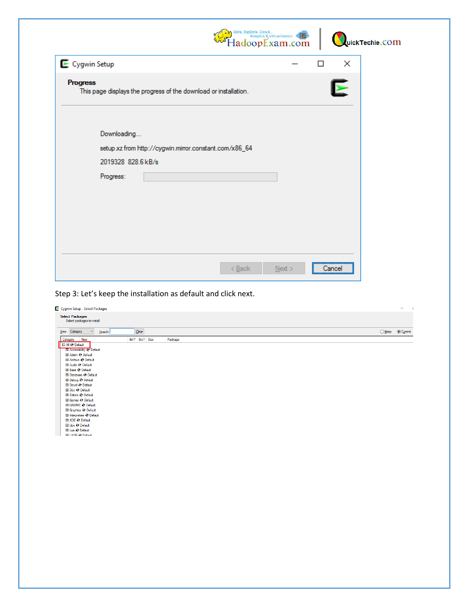|                                                                                             | Data, BigData. Cloud.<br>Anaytics & Virtualizaton<br><b>HadoopExam.com</b> |      |   |                       | uickTechie.COM |
|---------------------------------------------------------------------------------------------|----------------------------------------------------------------------------|------|---|-----------------------|----------------|
| Cygwin Setup                                                                                |                                                                            |      | П | ×                     |                |
| <b>Progress</b><br>This page displays the progress of the download or installation.         |                                                                            |      |   | $\blacktriangleright$ |                |
| Downloading<br>setup xz from http://cygwin.mirror.constant.com/x86_64<br>2019328 828.6 kB/s |                                                                            |      |   |                       |                |
| Progress:                                                                                   |                                                                            |      |   |                       |                |
|                                                                                             |                                                                            |      |   |                       |                |
|                                                                                             |                                                                            |      |   |                       |                |
|                                                                                             | < Back                                                                     | Next |   | Cancel                |                |

Step 3: Let's keep the installation as default and click next.

| View Category<br>Search<br>$\checkmark$   | $Clear$        |         | ○ Keep  © Current |  |
|-------------------------------------------|----------------|---------|-------------------|--|
| Category New                              | Bin? Src? Size | Package |                   |  |
| <b>E All O Default</b>                    |                |         |                   |  |
| El Accessibility O Default                |                |         |                   |  |
| El Admin O Default                        |                |         |                   |  |
| 田 Archive O Default<br>El Audio O Default |                |         |                   |  |
| El Base O Default                         |                |         |                   |  |
| <b>El Database © Default</b>              |                |         |                   |  |
| El Debug O Default                        |                |         |                   |  |
| El Devel O Default                        |                |         |                   |  |
| El Doc & Default                          |                |         |                   |  |
| El Editors O Default                      |                |         |                   |  |
| <b>El Games O Default</b>                 |                |         |                   |  |
| El GNOME O Default                        |                |         |                   |  |
| El Graphics O Default                     |                |         |                   |  |
| El Interpreters O Default                 |                |         |                   |  |
| El KDE O Default                          |                |         |                   |  |
| El Libs © Default                         |                |         |                   |  |
| El Lua & Default                          |                |         |                   |  |
| <b>FELXDE O Default</b>                   |                |         |                   |  |
|                                           |                |         |                   |  |
|                                           |                |         |                   |  |
|                                           |                |         |                   |  |
|                                           |                |         |                   |  |
|                                           |                |         |                   |  |
|                                           |                |         |                   |  |
|                                           |                |         |                   |  |
|                                           |                |         |                   |  |
|                                           |                |         |                   |  |
|                                           |                |         |                   |  |
|                                           |                |         |                   |  |
|                                           |                |         |                   |  |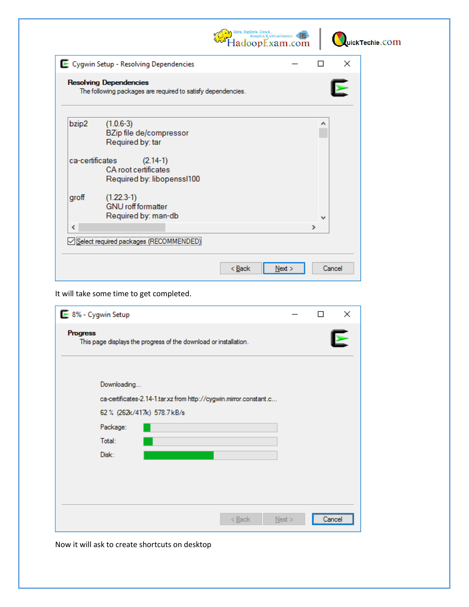|                 |                                                                                               | Data, BigData.<br>& Virtualizaton<br>adoopExam.com |   |   |        | uickTechie.COM |
|-----------------|-----------------------------------------------------------------------------------------------|----------------------------------------------------|---|---|--------|----------------|
|                 | E Cygwin Setup - Resolving Dependencies                                                       |                                                    |   | □ | ×      |                |
|                 | <b>Resolving Dependencies</b><br>The following packages are required to satisfy dependencies. |                                                    |   |   | Å      |                |
| bzip2           | $(1.0.6-3)$<br>BZip file de/compressor<br>Required by: tar                                    |                                                    |   | ∧ |        |                |
| ca-certificates | $(2.14-1)$<br>CA root certificates<br>Required by: libopenssI100                              |                                                    |   |   |        |                |
| groff           | $(1.22.3-1)$<br><b>GNU</b> roff formatter<br>Required by: man-db                              |                                                    |   | w |        |                |
| ∢               |                                                                                               |                                                    | ⋗ |   |        |                |
|                 | Select required packages (RECOMMEN                                                            |                                                    |   |   |        |                |
|                 |                                                                                               | $<$ Back<br>Next                                   |   |   | Cancel |                |

It will take some time to get completed.

| ► 8% - Cygwin Setup                                                                                              |      |        | $\times$ |
|------------------------------------------------------------------------------------------------------------------|------|--------|----------|
| <b>Progress</b><br>This page displays the progress of the download or installation.                              |      |        |          |
| Downloading<br>ca-certificates-2.14-1.tar.xz from http://cygwin.mirror.constant.c<br>62 % (262k/417k) 578.7 kB/s |      |        |          |
| Package:                                                                                                         |      |        |          |
| Total:                                                                                                           |      |        |          |
| Disk:                                                                                                            |      |        |          |
|                                                                                                                  |      |        |          |
|                                                                                                                  |      |        |          |
|                                                                                                                  |      |        |          |
| < Back                                                                                                           | Next | Cancel |          |

Now it will ask to create shortcuts on desktop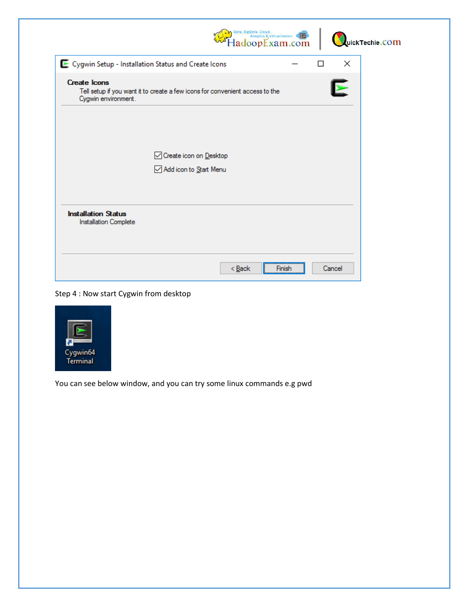| Data, BigData.<br><b>Anaytics &amp; Virtualizaton</b><br>ladoopExam.com                                                    |   |                       | uickTechie.COM |
|----------------------------------------------------------------------------------------------------------------------------|---|-----------------------|----------------|
| E Cygwin Setup - Installation Status and Create Icons                                                                      | П | $\times$              |                |
| <b>Create Icons</b><br>Tell setup if you want it to create a few icons for convenient access to the<br>Cygwin environment. |   | $\blacktriangleright$ |                |
| ○ Create icon on Desktop<br>Add icon to Start Menu                                                                         |   |                       |                |
| <b>Installation Status</b><br>Installation Complete                                                                        |   |                       |                |
| $<$ Back<br>Finish                                                                                                         |   | Cancel                |                |

Step 4 : Now start Cygwin from desktop



You can see below window, and you can try some linux commands e.g pwd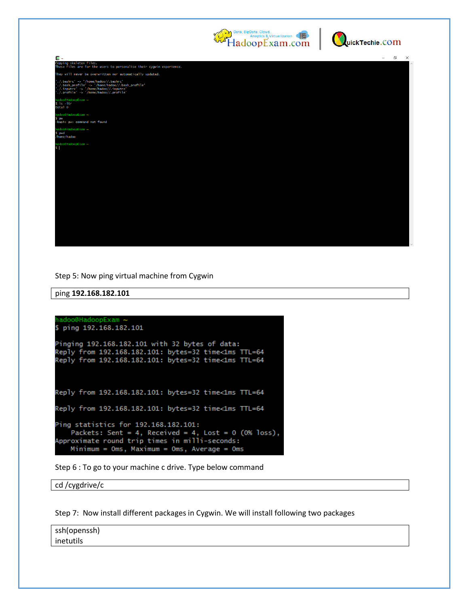



| 돈~                                                                                                                                                                                     | $\Box$ | $\times$ |
|----------------------------------------------------------------------------------------------------------------------------------------------------------------------------------------|--------|----------|
| Copying skeleton files.<br>These files are for the users to personalise their cygwin experience.                                                                                       |        |          |
| They will never be overwritten nor automatically updated.                                                                                                                              |        |          |
| $'./.$ bashrc' -> '/home/hadoo//.bashrc'<br>'./.bash_profile' -> '/home/hadoo//.bash_profile'<br>'./.inputrc' -> '/home/hadoo//.inputrc'<br>$',$ /.profile' -> '/home/hadoo//.profile' |        |          |
| hadoo@HadoopExam ~<br>$s$ $1s$ $-1tr$<br>total 0                                                                                                                                       |        |          |
| adoo@HadoopExam ~<br>S pw<br>-bash: pw: command not found                                                                                                                              |        |          |
| hadoo@HadoopExam ~<br>S pwd<br>/home/hadoo                                                                                                                                             |        |          |
| adoo@HadoopExam ~<br>s                                                                                                                                                                 |        |          |
|                                                                                                                                                                                        |        |          |
|                                                                                                                                                                                        |        |          |
|                                                                                                                                                                                        |        |          |
|                                                                                                                                                                                        |        |          |
|                                                                                                                                                                                        |        |          |
|                                                                                                                                                                                        |        |          |

Step 5: Now ping virtual machine from Cygwin

ping **192.168.182.101**

```
adoo@HadoopExam ~
 ping 192.168.182.101
Pinging 192.168.182.101 with 32 bytes of data:
Reply from 192.168.182.101: bytes=32 time<1ms TTL=64
Reply from 192.168.182.101: bytes=32 time<1ms TTL=64
Reply from 192.168.182.101: bytes=32 time<1ms TTL=64
Reply from 192.168.182.101: bytes=32 time<1ms TTL=64
Ping statistics for 192.168.182.101:
   Packets: Sent = 4, Received = 4, Lost = 0 (0% loss),
Approximate round trip times in milli-seconds:
   Minimum = Oms, Maximum = Oms, Average = Oms
```
Step 6 : To go to your machine c drive. Type below command

cd /cygdrive/c

Step 7: Now install different packages in Cygwin. We will install following two packages

ssh(openssh) inetutils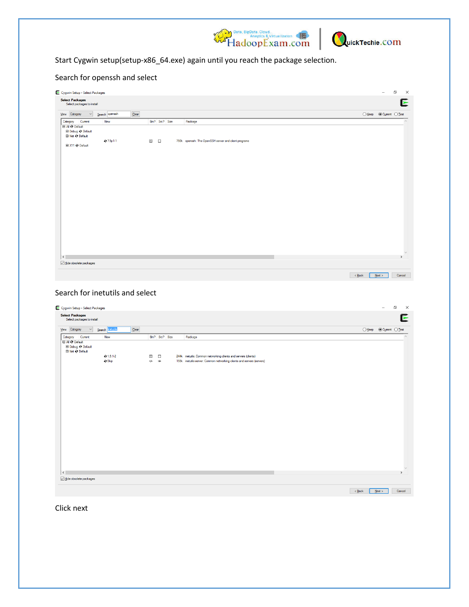



# Start Cygwin setup(setup-x86\_64.exe) again until you reach the package selection.

## Search for openssh and select

| E Cygwin Setup - Select Packages                      |                                                            | $\Box$<br>$\overline{\phantom{a}}$<br>$\times$    |
|-------------------------------------------------------|------------------------------------------------------------|---------------------------------------------------|
| <b>Select Packages</b><br>Select packages to install  |                                                            | Ε                                                 |
| Qear<br>View Category<br>Search openssh<br>$\backsim$ |                                                            | $\bigcirc$ Keep $\bigcirc$ Cyment $\bigcirc$ Test |
| Category<br>Current<br>New<br><b>E All O Default</b>  | Bin? Src? Size<br>Package                                  | $\wedge$                                          |
| <b>El Debug ⊙ Default</b><br>□ Net ⊙ Default          |                                                            |                                                   |
| 07.5p1-1<br>El X11 O Default                          | ⊠□<br>750k openssh: The OpenSSH server and client programs |                                                   |
|                                                       |                                                            |                                                   |
|                                                       |                                                            |                                                   |
|                                                       |                                                            |                                                   |
|                                                       |                                                            |                                                   |
|                                                       |                                                            |                                                   |
|                                                       |                                                            |                                                   |
|                                                       |                                                            |                                                   |
|                                                       |                                                            |                                                   |
|                                                       |                                                            |                                                   |
| $\langle$                                             |                                                            | $\vee$<br>$\,$                                    |
| Hide obsolete packages                                |                                                            |                                                   |
|                                                       |                                                            | $< 8$ ack<br>$Next$<br>Cancel                     |

## Search for inetutils and select

| Search netutils<br>Qear<br>View Category<br>$\vee$<br>Current<br>Bin? Src? Size<br>Category<br>New<br>Package<br>E All O Default<br>El Debug @ Default<br>□ Net O Default<br>$Q$ 1.9.1-2<br>244k inetutils: Common networking clients and servers (clients)<br>$\boxtimes$<br>$\Box$<br><b>O</b> Skip<br>nja<br>155k inetutils-server: Common networking clients and servers (servers)<br>nja | $\bigcirc$ Keep $\circledcirc$ Current $\bigcirc$ Test |  |
|-----------------------------------------------------------------------------------------------------------------------------------------------------------------------------------------------------------------------------------------------------------------------------------------------------------------------------------------------------------------------------------------------|--------------------------------------------------------|--|
|                                                                                                                                                                                                                                                                                                                                                                                               |                                                        |  |
|                                                                                                                                                                                                                                                                                                                                                                                               |                                                        |  |
|                                                                                                                                                                                                                                                                                                                                                                                               |                                                        |  |
|                                                                                                                                                                                                                                                                                                                                                                                               |                                                        |  |
|                                                                                                                                                                                                                                                                                                                                                                                               |                                                        |  |
|                                                                                                                                                                                                                                                                                                                                                                                               |                                                        |  |
|                                                                                                                                                                                                                                                                                                                                                                                               |                                                        |  |
|                                                                                                                                                                                                                                                                                                                                                                                               |                                                        |  |
|                                                                                                                                                                                                                                                                                                                                                                                               |                                                        |  |
|                                                                                                                                                                                                                                                                                                                                                                                               |                                                        |  |
|                                                                                                                                                                                                                                                                                                                                                                                               |                                                        |  |
|                                                                                                                                                                                                                                                                                                                                                                                               |                                                        |  |
|                                                                                                                                                                                                                                                                                                                                                                                               |                                                        |  |
|                                                                                                                                                                                                                                                                                                                                                                                               |                                                        |  |
|                                                                                                                                                                                                                                                                                                                                                                                               |                                                        |  |
|                                                                                                                                                                                                                                                                                                                                                                                               |                                                        |  |
|                                                                                                                                                                                                                                                                                                                                                                                               |                                                        |  |
|                                                                                                                                                                                                                                                                                                                                                                                               |                                                        |  |
|                                                                                                                                                                                                                                                                                                                                                                                               |                                                        |  |
|                                                                                                                                                                                                                                                                                                                                                                                               |                                                        |  |
|                                                                                                                                                                                                                                                                                                                                                                                               |                                                        |  |
|                                                                                                                                                                                                                                                                                                                                                                                               |                                                        |  |
|                                                                                                                                                                                                                                                                                                                                                                                               |                                                        |  |
|                                                                                                                                                                                                                                                                                                                                                                                               |                                                        |  |
|                                                                                                                                                                                                                                                                                                                                                                                               |                                                        |  |
|                                                                                                                                                                                                                                                                                                                                                                                               |                                                        |  |
|                                                                                                                                                                                                                                                                                                                                                                                               |                                                        |  |
|                                                                                                                                                                                                                                                                                                                                                                                               |                                                        |  |
|                                                                                                                                                                                                                                                                                                                                                                                               |                                                        |  |
|                                                                                                                                                                                                                                                                                                                                                                                               |                                                        |  |
|                                                                                                                                                                                                                                                                                                                                                                                               |                                                        |  |

Click next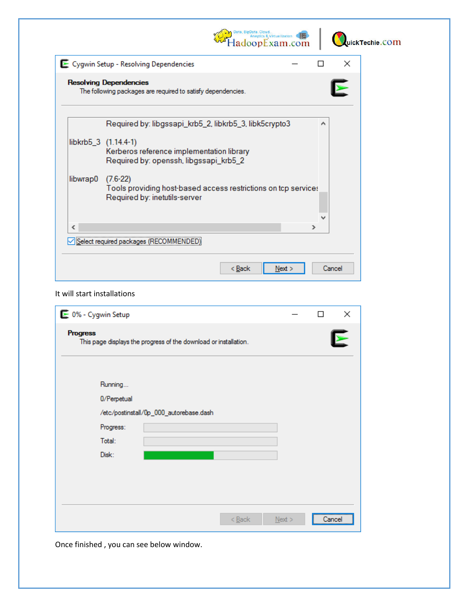

#### It will start installations

| ⊵ 0% - Cygwin Setup                                                                 |           | П      | ×                     |
|-------------------------------------------------------------------------------------|-----------|--------|-----------------------|
| <b>Progress</b><br>This page displays the progress of the download or installation. |           |        | $\blacktriangleright$ |
| Running<br>0/Perpetual<br>/etc/postinstall/0p_000_autorebase.dash                   |           |        |                       |
| Progress:                                                                           |           |        |                       |
| Total:                                                                              |           |        |                       |
| Disk:                                                                               |           |        |                       |
|                                                                                     |           |        |                       |
|                                                                                     |           |        |                       |
|                                                                                     |           |        |                       |
| $Back$                                                                              | $N$ ext > | Cancel |                       |

Once finished , you can see below window.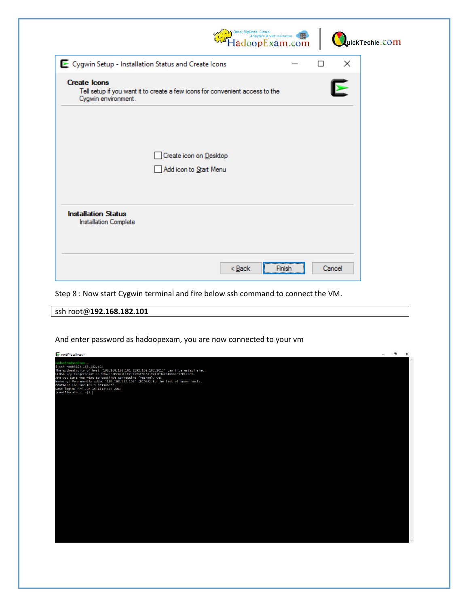| Data, BigData<br>Anaytics & Virtualizaton<br>ladoopExam.com                                                                |   | uickTechie.COM |
|----------------------------------------------------------------------------------------------------------------------------|---|----------------|
| E Cygwin Setup - Installation Status and Create Icons                                                                      | П | ×              |
| <b>Create Icons</b><br>Tell setup if you want it to create a few icons for convenient access to the<br>Cygwin environment. |   | ➤              |
| Create icon on Desktop<br>Add icon to Start Menu                                                                           |   |                |
| <b>Installation Status</b><br>Installation Complete                                                                        |   |                |
| < <u>B</u> ack<br>Finish                                                                                                   |   | Cancel         |

Step 8 : Now start Cygwin terminal and fire below ssh command to connect the VM.

ssh root@**192.168.182.101**

And enter password as hadoopexam, you are now connected to your vm

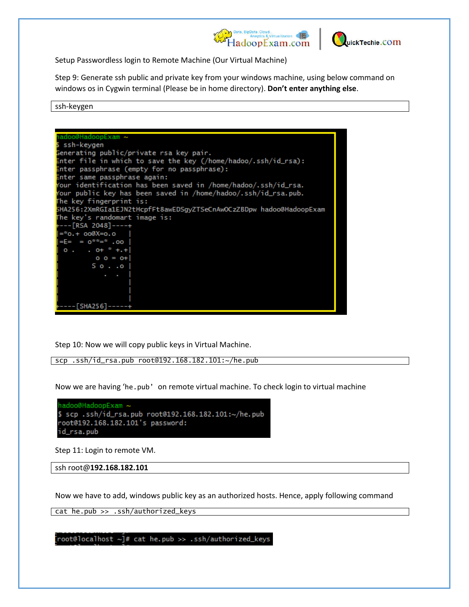



Setup Passwordless login to Remote Machine (Our Virtual Machine)

Step 9: Generate ssh public and private key from your windows machine, using below command on windows os in Cygwin terminal (Please be in home directory). **Don't enter anything else**.

ssh-keygen

| hadoo@HadoopExam ~                                                  |
|---------------------------------------------------------------------|
| \$ ssh-keygen                                                       |
| Generating public/private rsa key pair.                             |
| Enter file in which to save the key (/home/hadoo/.ssh/id_rsa):      |
| Enter passphrase (empty for no passphrase):                         |
| Enter same passphrase again:                                        |
| Your identification has been saved in /home/hadoo/.ssh/id_rsa.      |
| Your public key has been saved in /home/hadoo/.ssh/id_rsa.pub.      |
| The key fingerprint is:                                             |
| 5HA256:2XmRGIa1EJN2tHcpfFt8awEDSgyZTSeCnAwOCzZBDpw hadoo@HadoopExam |
| The key's randomart image is:                                       |
| +---[RSA 2048]----+                                                 |
| $=$ $*$ o. + oo@X=o. o                                              |
| $= E = 0^{\pm \pm \pm \pm} .00$                                     |
| $0 \cdot 0 + \frac{1}{2} + \frac{1}{2} + \frac{1}{2}$               |
| $0 0 = 0+$                                                          |
| 50.00                                                               |
| <b>Contract Contract</b>                                            |
|                                                                     |
|                                                                     |
|                                                                     |
| - [SHA256] -----+                                                   |

Step 10: Now we will copy public keys in Virtual Machine.

scp .ssh/id\_rsa.pub root@192.168.182.101:~/he.pub

Now we are having 'he.pub' on remote virtual machine. To check login to virtual machine

| hadoo@HadoopExam ~                                   |
|------------------------------------------------------|
| \$ scp .ssh/id_rsa.pub root@192.168.182.101:~/he.pub |
| root@192.168.182.101's password:                     |
| id_rsa.pub                                           |

Step 11: Login to remote VM.

```
ssh root@192.168.182.101
```
Now we have to add, windows public key as an authorized hosts. Hence, apply following command

cat he.pub >> .ssh/authorized\_keys

[root@localhost ~]# cat he.pub >> .ssh/authorized\_keys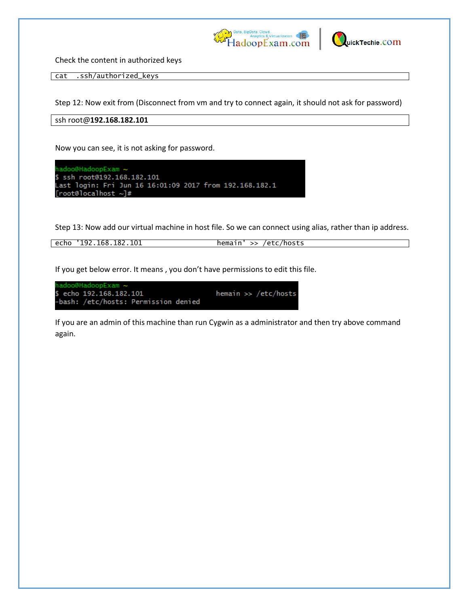



Check the content in authorized keys

cat .ssh/authorized\_keys

Step 12: Now exit from (Disconnect from vm and try to connect again, it should not ask for password)

ssh root@**192.168.182.101**

Now you can see, it is not asking for password.



Step 13: Now add our virtual machine in host file. So we can connect using alias, rather than ip address.

echo '192.168.182.101 hemain' >> /etc/hosts

If you get below error. It means, you don't have permissions to edit this file.

adoo@HadoopExam ~ hemain >> /etc/hosts echo 192.168.182.101 -bash: /etc/hosts: Permission denied

If you are an admin of this machine than run Cygwin as a administrator and then try above command again.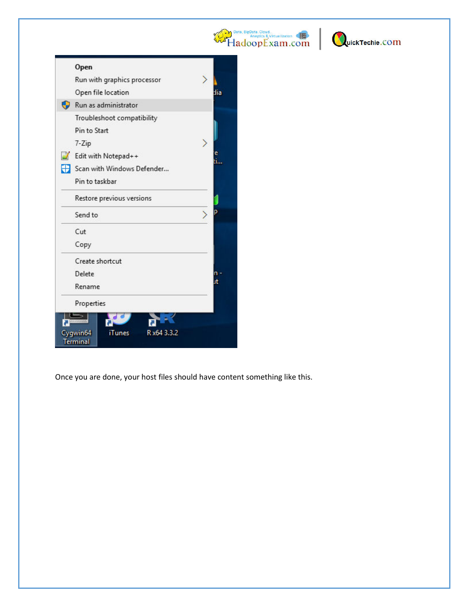



| Open                              |         |
|-----------------------------------|---------|
| Run with graphics processor       |         |
| Open file location                | dia     |
| Run as administrator              |         |
| Troubleshoot compatibility        |         |
| Pin to Start                      |         |
| 7-Zip                             |         |
| Edit with Notepad++               | e<br>il |
| Scan with Windows Defender        |         |
| Pin to taskbar                    |         |
| Restore previous versions         |         |
| Send to                           |         |
| Cut                               |         |
| Copy                              |         |
| Create shortcut                   |         |
| Delete                            |         |
| Rename                            |         |
| Properties                        |         |
|                                   |         |
| Cygwin64<br>R x64 3.3.2<br>iTunes |         |
| <b>Terminal</b>                   |         |

Once you are done, your host files should have content something like this.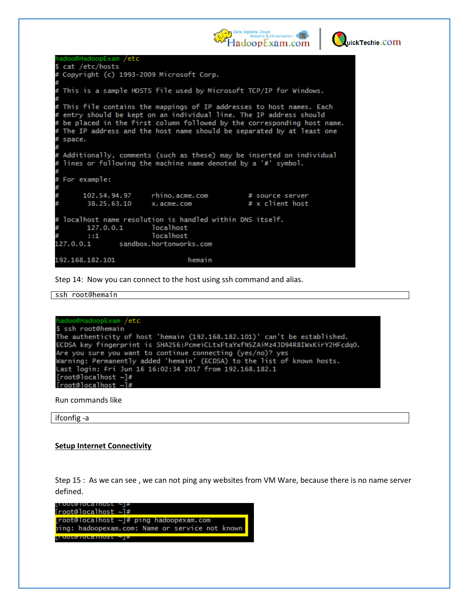



adoo@HadoopExam /etc cat /etc/hosts ¢ Copyright (c) 1993-2009 Microsoft Corp. This is a sample HOSTS file used by Microsoft TCP/IP for Windows. This file contains the mappings of IP addresses to host names. Each ₩ entry should be kept on an individual line. The IP address should be placed in the first column followed by the corresponding host name. The IP address and the host name should be separated by at least one space. Additionally, comments (such as these) may be inserted on individual lines or following the machine name denoted by a '#' symbol. For example: 102.54.94.97 rhino.acme.com # source server 38.25.63.10 x.acme.com # x client host localhost name resolution is handled within DNS itself. 127.0.0.1 localhost  $: 1$ localhost 127.0.0.1 sandbox.hortonworks.com 192.168.182.101 hemain

Step 14: Now you can connect to the host using ssh command and alias.

```
ssh root@hemain
```

```
hadoo@HadoopExam /etc
$ ssh root@hemain
The authenticity of host 'hemain (192.168.182.101)' can't be established.
ECDSA key fingerprint is SHA256:PcmeiCLtxFtaYxfN5ZAiMz4JD94R8IWxKirY2HFcdq0.
Are you sure you want to continue connecting (yes/no)? yes
Warning: Permanently added 'hemain' (ECDSA) to the list of known hosts.
Last login: Fri Jun 16 16:02:34 2017 from 192.168.182.1
[root@localhost \sim]#
[root@localhost ~]#
```
Run commands like

ifconfig -a

#### **Setup Internet Connectivity**

Step 15 : As we can see , we can not ping any websites from VM Ware, because there is no name server defined.

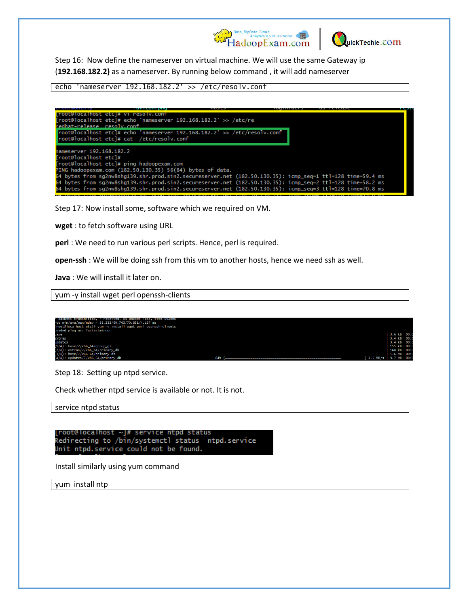



Step 16: Now define the nameserver on virtual machine. We will use the same Gateway ip (**192.168.182.2)** as a nameserver. By running below command , it will add nameserver

echo 'nameserver 192.168.182.2' >> /etc/resolv.conf

edhat-release resolv.conf root@localhost etc]# echo 'nameserver 192.168.182.2' >> /etc/resolv.conf root@localhost etc]# cat /etc/resolv.conf ameserver 192.168.182.2 [root@localhost etc]# route nocalnost etcj#<br>[root@localhost etc]# ping hadoopexam.com<br>PING hadoopexam.com (182.50.130.35) 56(84) bytes of data.<br>64 bytes from sg2nw8shg139.shr.prod.sin2.secureserver.net (182.50.130.35): icmp\_seq=1 ttl=128 time=5 4 bytes from sg2nw8shg139.shr.prod.sin2.secureserver.net (182.50.130.35): icmp\_seq=2 ttl=128 time=58.2 ms 54 bytes from sg2nw8shg139.shr.prod.sin2.secureserver.net (182.50.130.35): icmp\_seq=3 ttl=128 time=70.8 ms

Step 17: Now install some, software which we required on VM.

**wget** : to fetch software using URL

**perl** : We need to run various perl scripts. Hence, perl is required.

**open-ssh** : We will be doing ssh from this vm to another hosts, hence we need ssh as well.

**Java** : We will install it later on.

yum -y install wget perl openssh-clients

| packets transmitted. / received. 0% packet loss. time 6010ms /<br>"tt min/avg/max/mdev = 58.232/60.763/70.851/4.137 ms<br>froot@localhost etcl# yum -y install wget perl openssh-clients<br>oaded plugins: fastestmirror. |     |                          |                                        |  |
|---------------------------------------------------------------------------------------------------------------------------------------------------------------------------------------------------------------------------|-----|--------------------------|----------------------------------------|--|
| pase                                                                                                                                                                                                                      |     |                          | 3.6 kB 00:0                            |  |
| extras<br>updates                                                                                                                                                                                                         |     |                          | $3.4 \text{ kB}$ 00:0<br>$3.4$ kB 00:0 |  |
| $(1/4)$ : base/7/x86_64/group_gz                                                                                                                                                                                          |     |                          | 155 kB 00:0                            |  |
| $(2/4)$ : extras/7/x86_64/primary_db<br>$(3/4)$ : base/7/x86_64/primary_db                                                                                                                                                |     |                          | 168 kB 00:0<br>5.6 MB 00:0             |  |
| $(4/4)$ : updates/7/x86_64/primary_db                                                                                                                                                                                     | 84% | 1 1.5 MB/s   9.7 MB 00:0 |                                        |  |

Step 18: Setting up ntpd service.

Check whether ntpd service is available or not. It is not.

service ntpd status

```
[root@localhost ~]# service ntpd status
Redirecting to /bin/systemctl status  ntpd.service
Unit ntpd.service could not be found.
```
Install similarly using yum command

yum install ntp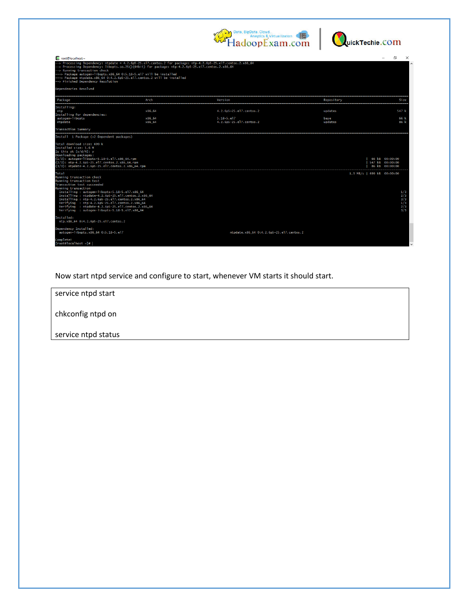



| Froot@localhost:~<br>$\rightarrow$ Processing Dependency: ntpdate = 4.2.6p5-25.el7.centos.2 for package: ntp-4.2.6p5-25.el7.centos.2.x86_64<br>--> Processing Dependency: libopts.so.25()(64bit) for package: ntp-4.2.6p5-25.el7.centos.2.x86_64-<br>--> Running transaction check<br>---> Package autogen-libopts.x86_64 0:5.18-5.el7 will be installed<br>---> Package ntpdate.x86_64 0:4.2.6p5-25.el7.centos.2 will be installed<br>--> Finished Dependency Resolution<br>Dependencies Resolved |                                |                                                                     |                            | $\times$<br>∩                                                                          |
|----------------------------------------------------------------------------------------------------------------------------------------------------------------------------------------------------------------------------------------------------------------------------------------------------------------------------------------------------------------------------------------------------------------------------------------------------------------------------------------------------|--------------------------------|---------------------------------------------------------------------|----------------------------|----------------------------------------------------------------------------------------|
| Package                                                                                                                                                                                                                                                                                                                                                                                                                                                                                            | Arch                           |                                                                     | Repository                 | <b>Size</b>                                                                            |
| Installing:<br>ntp<br>Installing for dependencies:<br>autogen-libopts<br>ntpdate                                                                                                                                                                                                                                                                                                                                                                                                                   | x86 64<br>$x86 - 64$<br>x86 64 | 4.2.6p5-25.el7.centos.2<br>$5.18 - 5.17$<br>4.2.6p5-25.el7.centos.2 | updates<br>base<br>updates | <br>547  <br>66<br>86 k                                                                |
| Transaction Summary<br>Install 1 Package (+2 Dependent packages)<br>Total download size: 699 k<br>Installed size: 1.6 M<br>Is this ok [y/d/N]: y<br>Downloading packages:<br>$(1/3)$ : autogen-libopts-5.18-5.el7.x86_64.rpm<br>(2/3): ntp-4.2.6p5-25.el7.centos.2.x86_64.rpm                                                                                                                                                                                                                      |                                |                                                                     |                            | 66 kB 00:00:00<br>547 kB 00:00:00                                                      |
| (3/3): ntpdate-4.2.6p5-25.el7.centos.2.x86_64.rpm<br>Total<br>Running transaction check<br>Running transaction test<br>Transaction test succeeded<br>Running transaction<br>Installing: autogen-libopts-5.18-5.el7.x86_64<br>Installing: ntpdate-4.2.6p5-25.el7.centos.2.x86_64<br>Installing: ntp-4.2.6p5-25.el7.centos.2.x86_64<br>Verifying : ntp-4.2.6p5-25.el7.centos.2.x86_64<br>Verifying : ntpdate-4.2.6p5-25.el7.centos.2.x86_64<br>Verifying : autogen-libopts-5.18-5.el7.x86_64         |                                |                                                                     |                            | 86 kB 00:00:00<br>1.3 MB/s   699 kB 00:00:00<br>1/3<br>2/3<br>3/3<br>1/3<br>2/3<br>3/3 |
| Installed:<br>ntp.x86_64 0:4.2.6p5-25.el7.centos.2<br>Dependency Installed:<br>autogen-libopts.x86_64 0:5.18-5.el7<br>Complete!<br>$[root@localhost \sim]$ #                                                                                                                                                                                                                                                                                                                                       |                                | ntpdate.x86_64 0:4.2.6p5-25.el7.centos.2                            |                            |                                                                                        |

Now start ntpd service and configure to start, whenever VM starts it should start.

service ntpd start chkconfig ntpd on service ntpd status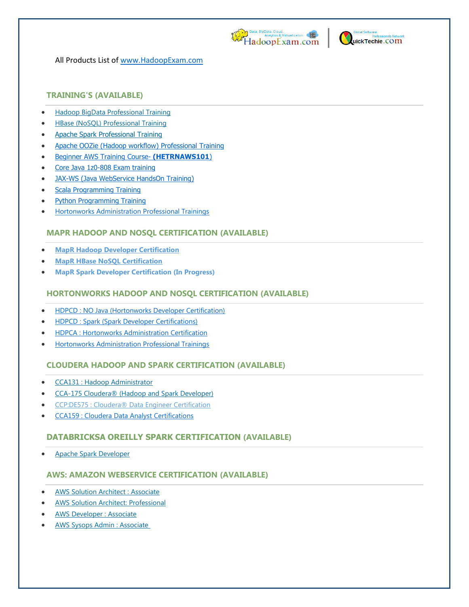



All Products List of [www.HadoopExam.com](http://www.hadoopexam.com/)

#### **TRAINING'S (AVAILABLE)**

- [Hadoop BigData Professional Training](http://hadoopexam.com/index.html/#hadoop-training)
- [HBase \(NoSQL\) Professional Training](http://www.hadoopexam.com/hbase/HBase_Training_AND_Certification.html)
- [Apache Spark Professional Training](http://www.hadoopexam.com/spark/training/Apache_Spark_professional_training_developer_certification_exam_dumps.html)
- [Apache OOZie \(Hadoop workflow\) Professional Training](http://www.hadoopexam.com/)
- [Beginner AWS Training Course-](http://www.hadoopexam.com/) **(HETRNAWS101**)
- [Core Java 1z0-808 Exam training](http://www.hadoopexam.com/)
- JAX-WS (Java WebService HandsOn Training)
- [Scala Programming Training](http://www.hadoopexam.com/)
- [Python Programming Training](http://www.hadoopexam.com/)
- [Hortonworks Administration Professional Trainings](http://www.hadoopexam.com/)

#### **MAPR HADOOP AND NOSQL CERTIFICATION (AVAILABLE)**

- **[MapR Hadoop Developer Certification](http://www.hadoopexam.com/MapR/MapR_MCHD_Hadoop_Developer_Certification_Practice_Questions_exam_dumps.html)**
- **[MapR HBase NoSQL Certification](http://hadoopexam.com/index.html/#hbase)**
- **MapR Spark Developer Certification (In Progress)**

## **HORTONWORKS HADOOP AND NOSQL CERTIFICATION (AVAILABLE)**

- [HDPCD : NO Java \(Hortonworks Developer Certification\)](http://www.hadoopexam.com/HORTONWORKS_CERT/What_is_hortonworks_hdpcd_hadoop_professsional_Certification.html)
- [HDPCD : Spark \(Spark Developer Certifications\)](http://www.hadoopexam.com/HORTONWORKS_CERT/What_is_hortonworks_hdpcd_spark_Certification.html)
- [HDPCA : Hortonworks Administration Certification](http://www.hadoopexam.com/)
- [Hortonworks Administration Professional Trainings](http://www.hadoopexam.com/)

#### **CLOUDERA HADOOP AND SPARK CERTIFICATION (AVAILABLE)**

- [CCA131 : Hadoop Administrator](http://hadoopexam.com/index.html/#admin)
- [CCA-175 Cloudera® \(Hadoop and Spark Developer\)](http://www.hadoopexam.com/Cloudera_Certification/CCA175/CCA_175_Hadoop_Cloudera_Spark_Certification_Questions_Dumps_Practice_Test.html)
- [CCP:DE575 : Cloudera® Data Engineer Certification](http://www.hadoopexam.com/Cloudera_Certification/CCPDE575/CCP_DE575_Hadoop_Cloudera_Data_Enginer_Questions_Dumps_Practice_Test.html)
- [CCA159 : Cloudera Data Analyst Certifications](http://www.hadoopexam.com/Cloudera_Certification/CCA159/What_is_cloudera_Data_Analyst_CCA159_Certification.html)

#### **DATABRICKSA OREILLY SPARK CERTIFICATION (AVAILABLE)**

[Apache Spark Developer](http://www.hadoopexam.com/spark/Apache_Spark_Oreilly_databricks_developer_certification_exam_dumps.html)

#### **AWS: AMAZON WEBSERVICE CERTIFICATION (AVAILABLE)**

- [AWS Solution Architect : Associate](http://www.hadoopexam.com/aws/amazon_aws_certification_dumps.html)
- [AWS Solution Architect: Professional](http://www.hadoopexam.com/aws/AWSSA/Professional/amazon_aws_certification_Solution_architect_professional_dumps.html)
- [AWS Developer : Associate](http://hadoopexam.com/aws/AWSDEV/amazon_aws_developer_exam_certification_dumps.html)
- [AWS Sysops Admin : Associate](http://hadoopexam.com/aws/AWSSYSOPS/amazon_aws_SysOps_Administrator_exam_certification_dumps.html)